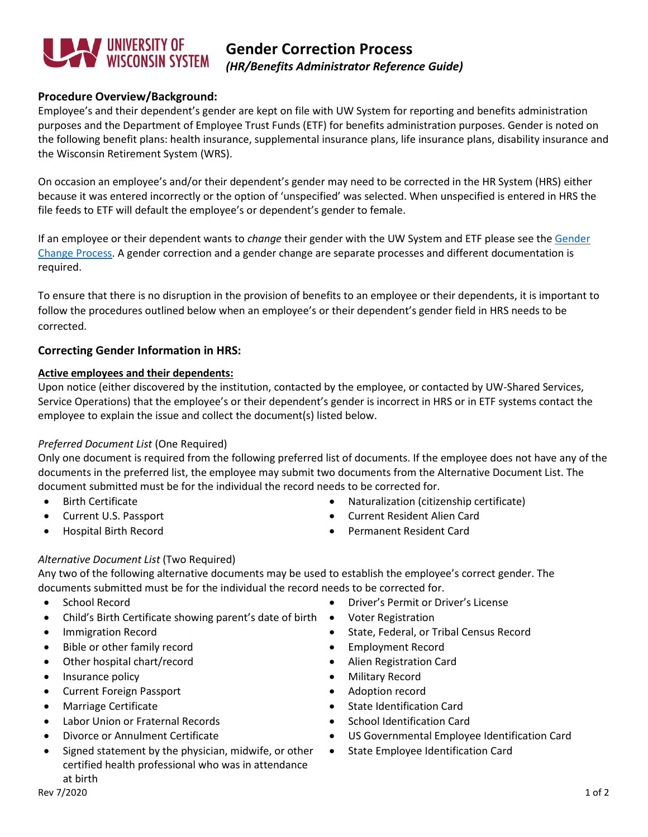

# **Gender Correction Process** *(HR/Benefits Administrator Reference Guide)*

## **Procedure Overview/Background:**

Employee's and their dependent's gender are kept on file with UW System for reporting and benefits administration purposes and the Department of Employee Trust Funds (ETF) for benefits administration purposes. Gender is noted on the following benefit plans: health insurance, supplemental insurance plans, life insurance plans, disability insurance and the Wisconsin Retirement System (WRS).

On occasion an employee's and/or their dependent's gender may need to be corrected in the HR System (HRS) either because it was entered incorrectly or the option of 'unspecified' was selected. When unspecified is entered in HRS the file feeds to ETF will default the employee's or dependent's gender to female.

If an employee or their dependent wants to *change* their gender with the UW System and ETF please see th[e Gender](https://www.wisconsin.edu/ohrwd/admin/download/genderchange.pdf)  [Change Process.](https://www.wisconsin.edu/ohrwd/admin/download/genderchange.pdf) A gender correction and a gender change are separate processes and different documentation is required.

To ensure that there is no disruption in the provision of benefits to an employee or their dependents, it is important to follow the procedures outlined below when an employee's or their dependent's gender field in HRS needs to be corrected.

## **Correcting Gender Information in HRS:**

### **Active employees and their dependents:**

Upon notice (either discovered by the institution, contacted by the employee, or contacted by UW-Shared Services, Service Operations) that the employee's or their dependent's gender is incorrect in HRS or in ETF systems contact the employee to explain the issue and collect the document(s) listed below.

## *Preferred Document List* (One Required)

Only one document is required from the following preferred list of documents. If the employee does not have any of the documents in the preferred list, the employee may submit two documents from the Alternative Document List. The document submitted must be for the individual the record needs to be corrected for.

- 
- 
- 
- Birth Certificate Naturalization (citizenship certificate)
	- Current U.S. Passport Current Resident Alien Card
	- Hospital Birth Record Permanent Resident Card

## *Alternative Document List* (Two Required)

Any two of the following alternative documents may be used to establish the employee's correct gender. The documents submitted must be for the individual the record needs to be corrected for.

- 
- Child's Birth Certificate showing parent's date of birth Voter Registration
- 
- Bible or other family record Employment Record
- Other hospital chart/record Alien Registration Card
- Insurance policy  **Military Record**
- Current Foreign Passport Adoption record
- 
- Labor Union or Fraternal Records School Identification Card
- 
- Signed statement by the physician, midwife, or other certified health professional who was in attendance at birth
- School Record Driver's Permit or Driver's License
	-
- Immigration Record State, Federal, or Tribal Census Record
	-
	-
	-
	-
- Marriage Certificate State Identification Card
	-
- Divorce or Annulment Certificate US Governmental Employee Identification Card
	- State Employee Identification Card